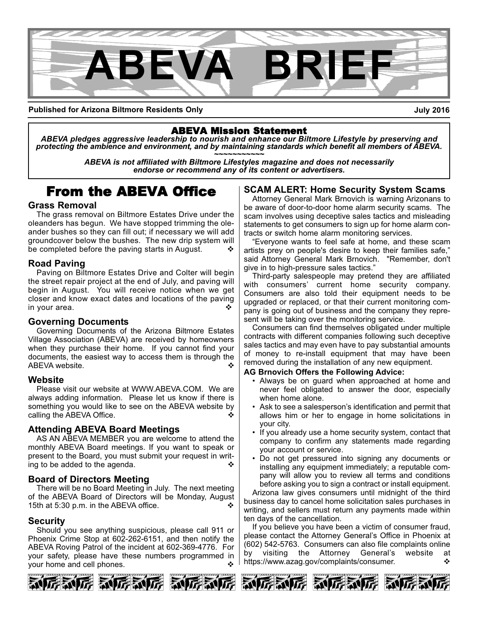

**Published for Arizona Biltmore Residents Only**

**July 2016**

# ABEVA Mission Statement

*ABEVA pledges aggressive leadership to nourish and enhance our Biltmore Lifestyle by preserving and* protecting the ambience and environment, and by maintaining standards which benefit all members of ABEVA.<br>ABEVA is not affiliated with Biltmore Lifestyles magazine and does not necessarily

*endorse or recommend any of its content or advertisers.*

# From the ABEVA Office

#### **Grass Removal**

The grass removal on Biltmore Estates Drive under the oleanders has begun. We have stopped trimming the oleander bushes so they can fill out; if necessary we will add groundcover below the bushes. The new drip system will be completed before the paving starts in August.  $\bullet$ 

#### **Road Paving**

Paving on Biltmore Estates Drive and Colter will begin the street repair project at the end of July, and paving will begin in August. You will receive notice when we get closer and know exact dates and locations of the paving in your area.

#### **Governing Documents**

Governing Documents of the Arizona Biltmore Estates Village Association (ABEVA) are received by homeowners when they purchase their home. If you cannot find your documents, the easiest way to access them is through the ABEVA website.

#### **Website**

Please visit our website at WWW.ABEVA.COM. We are always adding information. Please let us know if there is something you would like to see on the ABEVA website by calling the ABEVA Office.  $\diamond$ 

#### **Attending ABEVA Board Meetings**

AS AN ABEVA MEMBER you are welcome to attend the monthly ABEVA Board meetings. If you want to speak or present to the Board, you must submit your request in writing to be added to the agenda.  $\bullet$ 

#### **Board of Directors Meeting**

There will be no Board Meeting in July. The next meeting of the ABEVA Board of Directors will be Monday, August 15th at 5:30 p.m. in the ABEVA office.

#### **Security**

Should you see anything suspicious, please call 911 or Phoenix Crime Stop at 602-262-6151, and then notify the ABEVA Roving Patrol of the incident at 602-369-4776. For your safety, please have these numbers programmed in your home and cell phones.  $\cdot$ 

## **SCAM ALERT: Home Security System Scams**

Attorney General Mark Brnovich is warning Arizonans to be aware of door-to-door home alarm security scams. The scam involves using deceptive sales tactics and misleading statements to get consumers to sign up for home alarm contracts or switch home alarm monitoring services.

"Everyone wants to feel safe at home, and these scam artists prey on people's desire to keep their families safe," said Attorney General Mark Brnovich. "Remember, don't give in to high-pressure sales tactics."

Third-party salespeople may pretend they are affiliated with consumers' current home security company. Consumers are also told their equipment needs to be upgraded or replaced, or that their current monitoring company is going out of business and the company they represent will be taking over the monitoring service.

Consumers can find themselves obligated under multiple contracts with different companies following such deceptive sales tactics and may even have to pay substantial amounts of money to re-install equipment that may have been removed during the installation of any new equipment.

#### **AG Brnovich Offers the Following Advice:**

- Always be on guard when approached at home and never feel obligated to answer the door, especially when home alone.
- Ask to see a salesperson's identification and permit that allows him or her to engage in home solicitations in your city.
- If you already use a home security system, contact that company to confirm any statements made regarding your account or service.
- Do not get pressured into signing any documents or installing any equipment immediately; a reputable company will allow you to review all terms and conditions before asking you to sign a contract or install equipment.

Arizona law gives consumers until midnight of the third business day to cancel home solicitation sales purchases in writing, and sellers must return any payments made within ten days of the cancellation.

If you believe you have been a victim of consumer fraud, please contact the Attorney General's Office in Phoenix at (602) 5425763. Consumers can also file complaints online by visiting the Attorney General's website at https://www.azag.gov/complaints/consumer.  $\mathbf{\hat{\cdot}}$ 



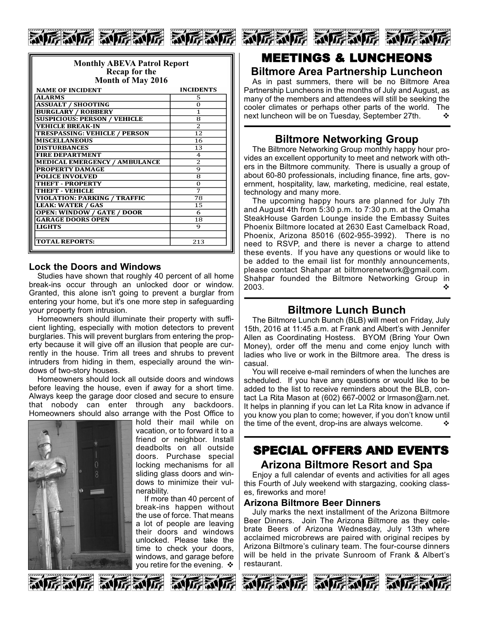

| <b>Monthly ABEVA Patrol Report</b><br>Recap for the<br>Month of May 2016 |                  |
|--------------------------------------------------------------------------|------------------|
| <b>NAME OF INCIDENT</b>                                                  | <b>INCIDENTS</b> |
| <b>ALARMS</b>                                                            | 5                |
| <b>ASSUALT / SHOOTING</b>                                                | $\Omega$         |
| <b>BURGLARY / ROBBERY</b>                                                | 1                |
| <b>SUSPICIOUS: PERSON / VEHICLE</b>                                      | 8                |
| <b>VEHICLE BREAK-IN</b>                                                  | $\overline{2}$   |
| <b>TRESPASSING: VEHICLE / PERSON</b>                                     | $\overline{12}$  |
| <b>MISCELLANEOUS</b>                                                     | 16               |
| <b>DISTURBANCES</b>                                                      | 13               |
| <b>FIRE DEPARTMENT</b>                                                   | $\overline{4}$   |
| <b>MEDICAL EMERGENCY / AMBULANCE</b>                                     | $\overline{2}$   |
| <b>PROPERTY DAMAGE</b>                                                   | 9                |
| <b>POLICE INVOLVED</b>                                                   | 8                |
| <b>THEFT - PROPERTY</b>                                                  | $\Omega$         |
| THEFT - VEHICLE                                                          | 7                |
| <b>VIOLATION: PARKING / TRAFFIC</b>                                      | 78               |
| <b>LEAK: WATER / GAS</b>                                                 | 15               |
| <b>OPEN: WINDOW / GATE / DOOR</b>                                        | 6                |
| <b>GARAGE DOORS OPEN</b>                                                 | $\overline{18}$  |
| <b>LIGHTS</b>                                                            | 9                |
|                                                                          |                  |
| <b>TOTAL REPORTS:</b>                                                    | 213              |

#### **Lock the Doors and Windows**

Studies have shown that roughly 40 percent of all home break-ins occur through an unlocked door or window. Granted, this alone isn't going to prevent a burglar from entering your home, but it's one more step in safeguarding your property from intrusion.

Homeowners should illuminate their property with sufficient lighting, especially with motion detectors to prevent burglaries. This will prevent burglars from entering the property because it will give off an illusion that people are currently in the house. Trim all trees and shrubs to prevent intruders from hiding in them, especially around the windows of two-story houses.

Homeowners should lock all outside doors and windows before leaving the house, even if away for a short time. Always keep the garage door closed and secure to ensure that nobody can enter through any backdoors. Homeowners should also arrange with the Post Office to



hold their mail while on vacation, or to forward it to a friend or neighbor. Install deadbolts on all outside doors. Purchase special locking mechanisms for all sliding glass doors and windows to minimize their vulnerability.

If more than 40 percent of break-ins happen without the use of force. That means a lot of people are leaving their doors and windows unlocked. Please take the time to check your doors, windows, and garage before you retire for the evening.  $\cdot$ 



# MEETINGS & LUNCHEONS

# **Biltmore Area Partnership Luncheon**

As in past summers, there will be no Biltmore Area Partnership Luncheons in the months of July and August, as many of the members and attendees will still be seeking the cooler climates or perhaps other parts of the world. The next luncheon will be on Tuesday, September 27th.  $\cdot\cdot\cdot$ 

# **Biltmore Networking Group**

The Biltmore Networking Group monthly happy hour provides an excellent opportunity to meet and network with others in the Biltmore community. There is usually a group of about 60-80 professionals, including finance, fine arts, government, hospitality, law, marketing, medicine, real estate, technology and many more.

The upcoming happy hours are planned for July 7th and August 4th from 5:30 p.m. to 7:30 p.m. at the Omaha SteakHouse Garden Lounge inside the Embassy Suites Phoenix Biltmore located at 2630 East Camelback Road, Phoenix, Arizona 85016 (602-955-3992). There is no need to RSVP, and there is never a charge to attend these events. If you have any questions or would like to be added to the email list for monthly announcements, please contact Shahpar at biltmorenetwork@gmail.com. Shahpar founded the Biltmore Networking Group in 2003. variation of  $\sim$   $\sim$   $\sim$   $\sim$   $\sim$ 

# **Biltmore Lunch Bunch**

The Biltmore Lunch Bunch (BLB) will meet on Friday, July 15th, 2016 at 11:45 a.m. at Frank and Albert's with Jennifer Allen as Coordinating Hostess. BYOM (Bring Your Own Money), order off the menu and come enjoy lunch with ladies who live or work in the Biltmore area. The dress is casual.

You will receive e-mail reminders of when the lunches are scheduled. If you have any questions or would like to be added to the list to receive reminders about the BLB, contact La Rita Mason at (602) 667-0002 or Irmason@arn.net. It helps in planning if you can let La Rita know in advance if you know you plan to come; however, if you don't know until the time of the event, drop-ins are always welcome.  $\cdot\cdot\cdot$ 

# SPECIAL OFFERS AND EVENTS

#### **Arizona Biltmore Resort and Spa**

Enjoy a full calendar of events and activities for all ages this Fourth of July weekend with stargazing, cooking classes, fireworks and more!

#### **Arizona Biltmore Beer Dinners**

July marks the next installment of the Arizona Biltmore Beer Dinners. Join The Arizona Biltmore as they celebrate Beers of Arizona Wednesday, July 13th where acclaimed microbrews are paired with original recipes by Arizona Biltmore's culinary team. The four-course dinners will be held in the private Sunroom of Frank & Albert's restaurant.











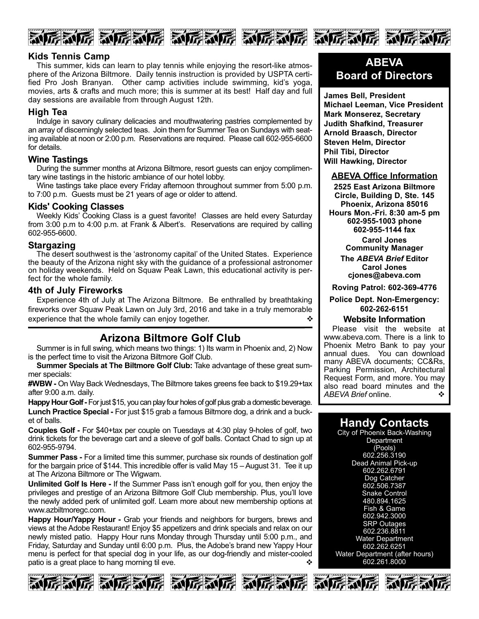





#### **Kids Tennis Camp**

This summer, kids can learn to play tennis while enjoying the resort-like atmosphere of the Arizona Biltmore. Daily tennis instruction is provided by USPTA certified Pro Josh Branyan. Other camp activities include swimming, kid's yoga, movies, arts & crafts and much more; this is summer at its best! Half day and full day sessions are available from through August 12th.

#### **High Tea**

Indulge in savory culinary delicacies and mouthwatering pastries complemented by an array of discerningly selected teas. Join them for Summer Tea on Sundays with seating available at noon or 2:00 p.m. Reservations are required. Please call 602-955-6600 for details.

#### **Wine Tastings**

During the summer months at Arizona Biltmore, resort guests can enjoy complimentary wine tastings in the historic ambiance of our hotel lobby.

Wine tastings take place every Friday afternoon throughout summer from 5:00 p.m. to 7:00 p.m. Guests must be 21 years of age or older to attend.

#### **Kids' Cooking Classes**

Weekly Kids' Cooking Class is a guest favorite! Classes are held every Saturday from 3:00 p.m to 4:00 p.m. at Frank & Albert's. Reservations are required by calling 602-955-6600.

#### **Stargazing**

The desert southwest is the 'astronomy capital' of the United States. Experience the beauty of the Arizona night sky with the guidance of a professional astronomer on holiday weekends. Held on Squaw Peak Lawn, this educational activity is perfect for the whole family.

#### **4th of July Fireworks**

Experience 4th of July at The Arizona Biltmore. Be enthralled by breathtaking fireworks over Squaw Peak Lawn on July 3rd, 2016 and take in a truly memorable experience that the whole family can enjoy together.

# **Arizona Biltmore Golf Club**

Summer is in full swing, which means two things: 1) Its warm in Phoenix and, 2) Now is the perfect time to visit the Arizona Biltmore Golf Club.

**Summer Specials at The Biltmore Golf Club:** Take advantage of these great summer specials:

#WBW - On Way Back Wednesdays, The Biltmore takes greens fee back to \$19.29+tax after 9:00 a.m. daily.

**Happy Hour Golf** For just \$15, you can play four holes of golf plus grab a domestic beverage. **Lunch Practice Special - For just \$15 grab a famous Biltmore dog, a drink and a buck**et of balls.

**Couples Golf - For \$40+tax per couple on Tuesdays at 4:30 play 9-holes of golf, two** drink tickets for the beverage cart and a sleeve of golf balls. Contact Chad to sign up at 602-955-9794.

**Summer Pass - For a limited time this summer, purchase six rounds of destination golf** for the bargain price of \$144. This incredible offer is valid May 15 – August 31. Tee it up at The Arizona Biltmore or The Wigwam.

**Unlimited Golf Is Here -** If the Summer Pass isn't enough golf for you, then enjoy the privileges and prestige of an Arizona Biltmore Golf Club membership. Plus, you'll love the newly added perk of unlimited golf. Learn more about new membership options at www.azbiltmoregc.com.

**Happy Hour/Yappy Hour -** Grab your friends and neighbors for burgers, brews and views at the Adobe Restaurant! Enjoy \$5 appetizers and drink specials and relax on our newly misted patio. Happy Hour runs Monday through Thursday until 5:00 p.m., and Friday, Saturday and Sunday until 6:00 p.m. Plus, the Adobe's brand new Yappy Hour menu is perfect for that special dog in your life, as our dog-friendly and mister-cooled patio is a great place to hang morning til eve.  $\cdot$ 









# **ABEVA Board of Directors**

**James Bell, President Michael Leeman, Vice President Mark Monserez, Secretary Judith Shafkind, Treasurer Arnold Braasch, Director Steven Helm, Director Phil Tibi, Director Will Hawking, Director**

#### **ABEVA Office Information**

**2525 East Arizona Biltmore Circle, Building D, Ste. 145 Phoenix, Arizona 85016** Hours Mon.-Fri. 8:30 am-5 pm **6029551003 phone 6029551144 fax Carol Jones Community Manager**

> **The** *ABEVA Brief* **Editor Carol Jones cjones@abeva.com**

**Roving Patrol: 6023694776**

**Police Dept. Non-Emergency: 6022626151**

#### **Website Information**

Please visit the website at www.abeva.com. There is a link to Phoenix Metro Bank to pay your annual dues. You can download many ABEVA documents; CC&Rs, Parking Permission, Architectural Request Form, and more. You may also read board minutes and the ABEVA Brief online. ABEVA Brief online.

# **Handy Contacts**

City of Phoenix Back-Washing **Department** (Pools) 602.256.3190 Dead Animal Pick-up 602.262.6791 Dog Catcher 602.506.7387 Snake Control 480.894.1625 Fish & Game 602.942.3000 SRP Outages 602.236.8811 Water Department 602.262.6251 Water Department (after hours) 602.261.8000